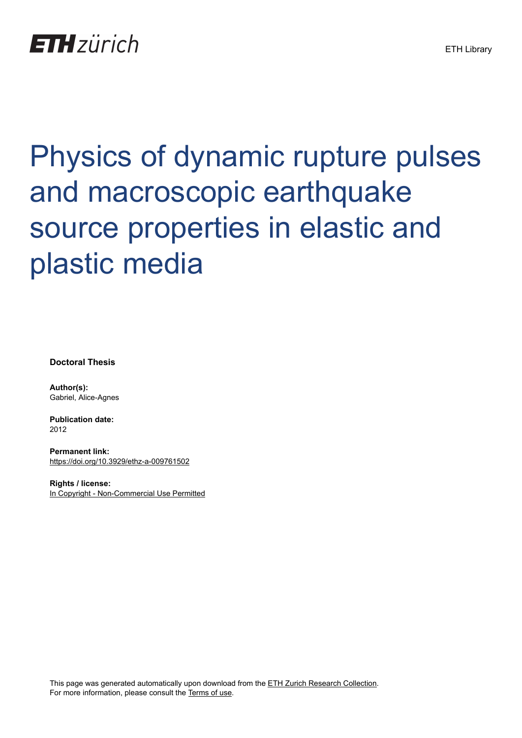# **ETH**zürich

# Physics of dynamic rupture pulses and macroscopic earthquake source properties in elastic and plastic media

**Doctoral Thesis**

**Author(s):** Gabriel, Alice-Agnes

**Publication date:** 2012

**Permanent link:** <https://doi.org/10.3929/ethz-a-009761502>

**Rights / license:** [In Copyright - Non-Commercial Use Permitted](http://rightsstatements.org/page/InC-NC/1.0/)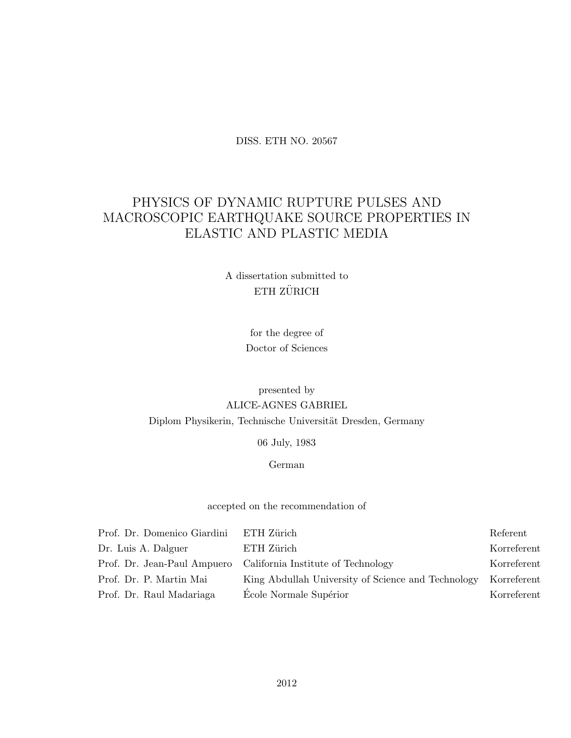#### DISS. ETH NO. 20567

# PHYSICS OF DYNAMIC RUPTURE PULSES AND MACROSCOPIC EARTHQUAKE SOURCE PROPERTIES IN ELASTIC AND PLASTIC MEDIA

#### A dissertation submitted to  $$\sf ETH$  ZÜRICH

for the degree of Doctor of Sciences

## presented by ALICE-AGNES GABRIEL Diplom Physikerin, Technische Universität Dresden, Germany

06 July, 1983

#### German

#### accepted on the recommendation of

| Prof. Dr. Domenico Giardini | ETH Zürich                                                     | Referent    |
|-----------------------------|----------------------------------------------------------------|-------------|
| Dr. Luis A. Dalguer         | ETH Zürich                                                     | Korreferent |
|                             | Prof. Dr. Jean-Paul Ampuero California Institute of Technology | Korreferent |
| Prof. Dr. P. Martin Mai     | King Abdullah University of Science and Technology             | Korreferent |
| Prof. Dr. Raul Madariaga    | École Normale Supérior                                         | Korreferent |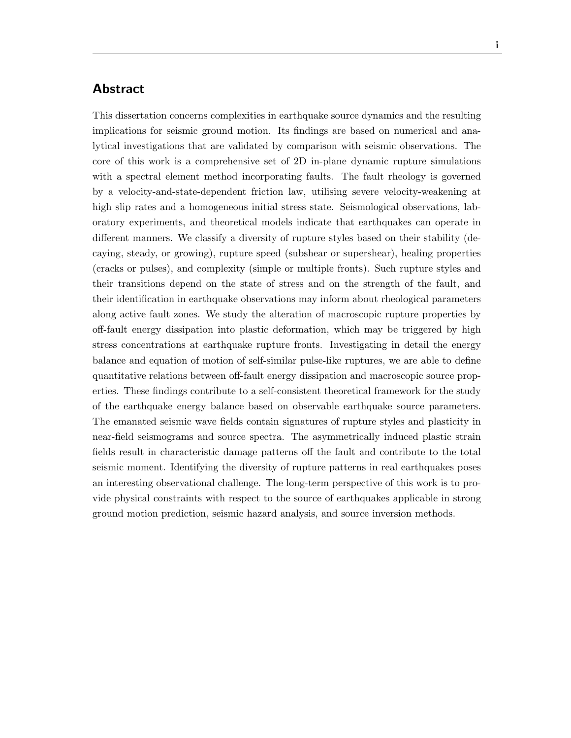#### Abstract

This dissertation concerns complexities in earthquake source dynamics and the resulting implications for seismic ground motion. Its findings are based on numerical and analytical investigations that are validated by comparison with seismic observations. The core of this work is a comprehensive set of 2D in-plane dynamic rupture simulations with a spectral element method incorporating faults. The fault rheology is governed by a velocity-and-state-dependent friction law, utilising severe velocity-weakening at high slip rates and a homogeneous initial stress state. Seismological observations, laboratory experiments, and theoretical models indicate that earthquakes can operate in different manners. We classify a diversity of rupture styles based on their stability (decaying, steady, or growing), rupture speed (subshear or supershear), healing properties (cracks or pulses), and complexity (simple or multiple fronts). Such rupture styles and their transitions depend on the state of stress and on the strength of the fault, and their identification in earthquake observations may inform about rheological parameters along active fault zones. We study the alteration of macroscopic rupture properties by off-fault energy dissipation into plastic deformation, which may be triggered by high stress concentrations at earthquake rupture fronts. Investigating in detail the energy balance and equation of motion of self-similar pulse-like ruptures, we are able to define quantitative relations between off-fault energy dissipation and macroscopic source properties. These findings contribute to a self-consistent theoretical framework for the study of the earthquake energy balance based on observable earthquake source parameters. The emanated seismic wave fields contain signatures of rupture styles and plasticity in near-field seismograms and source spectra. The asymmetrically induced plastic strain fields result in characteristic damage patterns off the fault and contribute to the total seismic moment. Identifying the diversity of rupture patterns in real earthquakes poses an interesting observational challenge. The long-term perspective of this work is to provide physical constraints with respect to the source of earthquakes applicable in strong ground motion prediction, seismic hazard analysis, and source inversion methods.